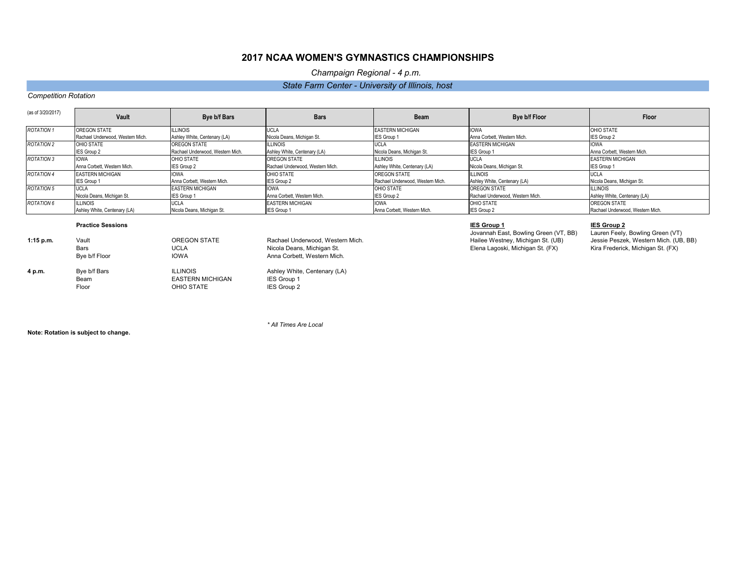| (as of 3/20/2017) | Vault                            | <b>Bye b/f Bars</b>              | <b>Bars</b>                      | <b>Beam</b>                      | Bye b/f Floor                    | <b>Floor</b>                     |
|-------------------|----------------------------------|----------------------------------|----------------------------------|----------------------------------|----------------------------------|----------------------------------|
| <b>ROTATION 1</b> | OREGON STATE                     | <b>ILLINOIS</b>                  | <b>UCLA</b>                      | <b>EASTERN MICHIGAN</b>          | <b>IOWA</b>                      | OHIO STATE                       |
|                   | Rachael Underwood, Western Mich. | Ashley White, Centenary (LA)     | Nicola Deans, Michigan St.       | <b>IES Group 1</b>               | Anna Corbett. Western Mich.      | <b>IES Group 2</b>               |
| <b>ROTATION 2</b> | OHIO STATE                       | OREGON STATE                     | illinois                         | <b>UCLA</b>                      | <b>EASTERN MICHIGAN</b>          | <b>IOWA</b>                      |
|                   | <b>IES Group 2</b>               | Rachael Underwood, Western Mich. | Ashley White, Centenary (LA)     | Nicola Deans, Michigan St.       | <b>IES Group 1</b>               | Anna Corbett, Western Mich.      |
| <b>ROTATION 3</b> | <b>IOWA</b>                      | OHIO STATE                       | <b>OREGON STATE</b>              | <b>ILLINOIS</b>                  | <b>UCLA</b>                      | <b>EASTERN MICHIGAN</b>          |
|                   | Anna Corbett, Western Mich.      | <b>IES Group 2</b>               | Rachael Underwood, Western Mich. | Ashley White, Centenary (LA)     | Nicola Deans, Michigan St.       | <b>IES Group 1</b>               |
| <b>ROTATION 4</b> | <b>EASTERN MICHIGAN</b>          | <b>IOWA</b>                      | OHIO STATE                       | OREGON STATE                     | <b>ILLINOIS</b>                  | <b>UCLA</b>                      |
|                   | <b>IES Group 1</b>               | Anna Corbett. Western Mich.      | <b>IES Group 2</b>               | Rachael Underwood, Western Mich. | Ashley White, Centenary (LA)     | Nicola Deans, Michigan St.       |
| <b>ROTATION 5</b> | <b>IUCLA</b>                     | <b>EASTERN MICHIGAN</b>          | <b>IOWA</b>                      | OHIO STATE                       | <b>IOREGON STATE</b>             | <b>ILLINOIS</b>                  |
|                   | Nicola Deans, Michigan St.       | IES Group 1                      | Anna Corbett, Western Mich.      | <b>IES Group 2</b>               | Rachael Underwood, Western Mich. | Ashley White, Centenary (LA)     |
| <b>ROTATION 6</b> | <b>ILLINOIS</b>                  | <b>UCLA</b>                      | <b>EASTERN MICHIGAN</b>          | <b>IOWA</b>                      | OHIO STATE                       | <b>OREGON STATE</b>              |
|                   | Ashley White, Centenary (LA)     | Nicola Deans, Michigan St.       | <b>IES Group 1</b>               | Anna Corbett, Western Mich.      | <b>IES Group 2</b>               | Rachael Underwood, Western Mich. |

### **Practice Sessions IES Group 1 IES Group 2**

 Jovannah East, Bowling Green (VT, BB) Lauren Feely, Bowling Green (VT) **1:15 p.m.** Vault OREGON STATE Rachael Underwood, Western Mich. Hailee Westney, Michigan St. (UB) Jessie Peszek, Western Mich. (UB, BB)

| $1:15$ p.m. | Vault         | <b>OREGON STATE</b>     | <b>Rachael Under</b> |
|-------------|---------------|-------------------------|----------------------|
|             | <b>Bars</b>   | <b>UCLA</b>             | Nicola Deans,        |
|             | Bye b/f Floor | <b>IOWA</b>             | Anna Corbett, \      |
| 4 p.m.      | Bye b/f Bars  | <b>ILLINOIS</b>         | Ashley White,        |
|             | Beam          | <b>EASTERN MICHIGAN</b> | IES Group 1          |
|             | Floor         | OHIO STATE              | IES Group 2          |
|             |               |                         |                      |

Western Mich.

**Centenary (LA)** 

Bars UCLA Nichigan St. Elena Lagoski, Michigan St. (FX)

*\* All Times Are Local*

**Note: Rotation is subject to change.**

# **2017 NCAA WOMEN'S GYMNASTICS CHAMPIONSHIPS**

*Champaign Regional - 4 p.m.* 

# *State Farm Center - University of Illinois, host*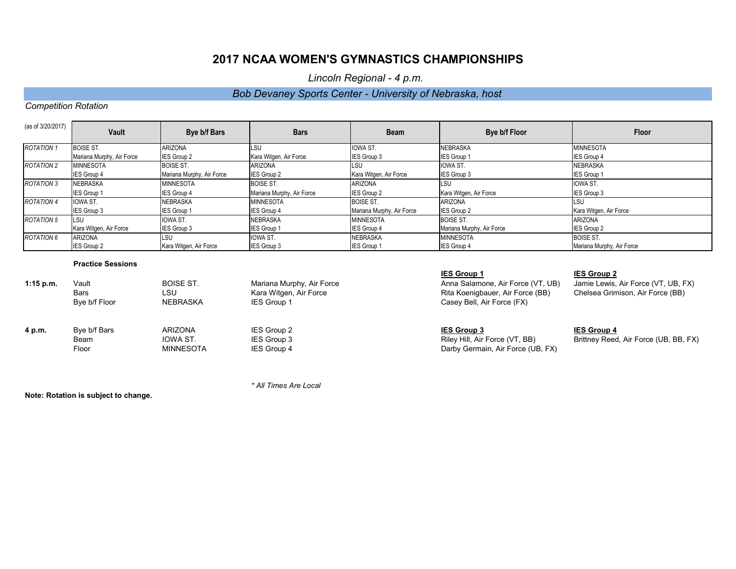# **2017 NCAA WOMEN'S GYMNASTICS CHAMPIONSHIPS**

*Lincoln Regional - 4 p.m.* 

### *Bob Devaney Sports Center - University of Nebraska, host*

### *Competition Rotation*

| (as of 3/20/2017) | Vault                     | Bye b/f Bars              | <b>Bars</b>               | <b>Beam</b>               | Bye b/f Floor             | <b>Floor</b>              |
|-------------------|---------------------------|---------------------------|---------------------------|---------------------------|---------------------------|---------------------------|
| <b>ROTATION 1</b> | <b>BOISE ST.</b>          | <b>ARIZONA</b>            | <b>LSU</b>                | <b>IOWA ST</b>            | <b>NEBRASKA</b>           | <b>MINNESOTA</b>          |
|                   | Mariana Murphy, Air Force | IES Group 2               | Kara Witgen, Air Force    | IES Group 3               | <b>IES Group 1</b>        | IES Group 4               |
| <b>ROTATION 2</b> | <b>MINNESOTA</b>          | <b>BOISE ST.</b>          | <b>ARIZONA</b>            | lsu                       | <b>IOWA ST.</b>           | <b>INEBRASKA</b>          |
|                   | IES Group 4               | Mariana Murphy, Air Force | <b>IES Group 2</b>        | Kara Witgen, Air Force    | <b>IES Group 3</b>        | <b>IES Group 1</b>        |
| <b>ROTATION 3</b> | <b>INEBRASKA</b>          | <b>MINNESOTA</b>          | <b>BOISE ST.</b>          | <b>ARIZONA</b>            | <b>ILSU</b>               | <b>IOWA ST.</b>           |
|                   | IES Group 1               | IES Group 4               | Mariana Murphy, Air Force | IES Group 2               | Kara Witgen, Air Force    | IES Group 3               |
| <b>ROTATION 4</b> | <b>IOWA ST.</b>           | NEBRASKA                  | <b>MINNESOTA</b>          | <b>BOISE ST.</b>          | <b>ARIZONA</b>            | LSU                       |
|                   | IES Group 3               | <b>IES Group 1</b>        | <b>IES Group 4</b>        | Mariana Murphy, Air Force | <b>IES Group 2</b>        | Kara Witgen, Air Force    |
| <b>ROTATION 5</b> | LSU                       | IOWA ST.                  | <b>NEBRASKA</b>           | <b>MINNESOTA</b>          | <b>BOISE ST.</b>          | <b>ARIZONA</b>            |
|                   | Kara Witgen, Air Force    | IES Group 3               | <b>IES Group 1</b>        | IES Group 4               | Mariana Murphy, Air Force | <b>IES Group 2</b>        |
| <b>ROTATION 6</b> | <b>ARIZONA</b>            | <b>LSU</b>                | <b>IOWA ST.</b>           | <b>NEBRASKA</b>           | <b>MINNESOTA</b>          | <b>BOISE ST.</b>          |
|                   | IES Group 2               | Kara Witgen, Air Force    | <b>IES Group 3</b>        | IES Group 1               | <b>IES Group 4</b>        | Mariana Murphy, Air Force |

### **Practice Sessions**

| $1:15$ p.m. | Vault<br><b>Bars</b><br>Bye b/f Floor | <b>BOISE ST.</b><br>LSU<br>NEBRASKA            | Mariana Murphy, Air Force<br>Kara Witgen, Air Force<br><b>IES Group 1</b> | <b>IES Group 1</b><br>Anna Salamone, Air Force (VT, UB)<br>Rita Koenigbauer, Air Force (BB)<br>Casey Bell, Air Force (FX) | <b>IES Group 2</b><br>Jamie Lewis, Air Force (VT, UB, FX)<br>Chelsea Grimison, Air Force (BB) |
|-------------|---------------------------------------|------------------------------------------------|---------------------------------------------------------------------------|---------------------------------------------------------------------------------------------------------------------------|-----------------------------------------------------------------------------------------------|
| 4 p.m.      | Bye b/f Bars<br>Beam<br>Floor         | <b>ARIZONA</b><br>IOWA ST.<br><b>MINNESOTA</b> | IES Group 2<br>IES Group 3<br>IES Group 4                                 | <b>IES Group 3</b><br>Riley Hill, Air Force (VT, BB)<br>Darby Germain, Air Force (UB, FX)                                 | <b>IES Group 4</b><br>Brittney Reed, Air Force (UB, BB, FX)                                   |

*\* All Times Are Local*

**Note: Rotation is subject to change.**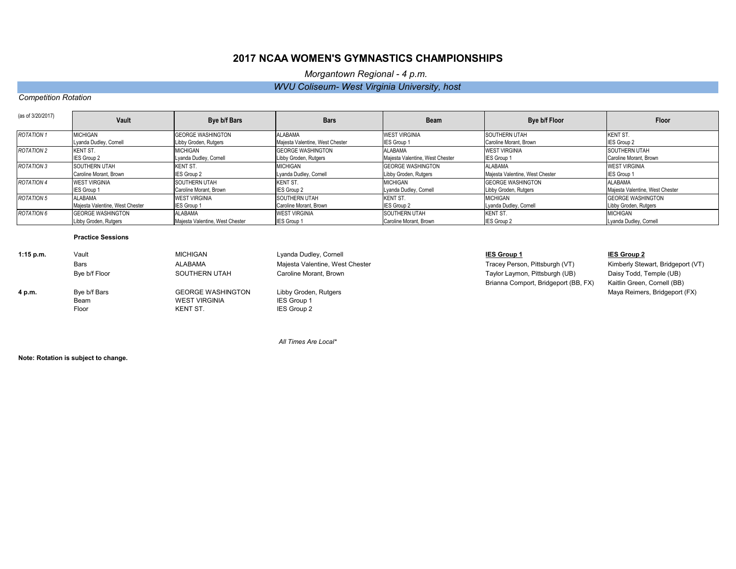| (as of 3/20/2017) | <b>Vault</b>                    | Bye b/f Bars                    | <b>Bars</b>                     | <b>Beam</b>                     | Bye b/f Floor                   | <b>Floor</b>                    |
|-------------------|---------------------------------|---------------------------------|---------------------------------|---------------------------------|---------------------------------|---------------------------------|
| <b>ROTATION 1</b> | <b>MICHIGAN</b>                 | <b>GEORGE WASHINGTON</b>        | ALABAMA                         | <b>WEST VIRGINIA</b>            | <b>SOUTHERN UTAH</b>            | <b>KENT ST.</b>                 |
|                   | Lyanda Dudley, Cornell          | Libby Groden, Rutgers           | Majesta Valentine, West Chester | <b>IES Group 1</b>              | Caroline Morant, Brown          | <b>IES Group 2</b>              |
| <b>ROTATION 2</b> | <b>KENT ST.</b>                 | <b>MICHIGAN</b>                 | <b>GEORGE WASHINGTON</b>        | ALABAMA                         | <b>WEST VIRGINIA</b>            | SOUTHERN UTAH                   |
|                   | <b>IES Group 2</b>              | Lyanda Dudley, Cornell          | Libby Groden, Rutgers           | Majesta Valentine, West Chester | <b>IES Group 1</b>              | Caroline Morant, Brown          |
| ROTATION 3        | SOUTHERN UTAH                   | KENT ST.                        | <b>MICHIGAN</b>                 | <b>GEORGE WASHINGTON</b>        | <b>ALABAMA</b>                  | <b>WEST VIRGINIA</b>            |
|                   | Caroline Morant, Brown          | <b>IES Group 2</b>              | Lyanda Dudley, Cornell          | Libby Groden, Rutgers           | Majesta Valentine, West Chester | <b>IES Group 1</b>              |
| <b>ROTATION 4</b> | <b>WEST VIRGINIA</b>            | <b>ISOUTHERN UTAH</b>           | KENT ST.                        | <b>MICHIGAN</b>                 | <b>GEORGE WASHINGTON</b>        | <b>ALABAMA</b>                  |
|                   | <b>IES Group 1</b>              | Caroline Morant, Brown          | <b>IES Group 2</b>              | Lyanda Dudley, Cornell          | Libby Groden, Rutgers           | Majesta Valentine, West Chester |
| ROTATION 5        | <b>ALABAMA</b>                  | <b>WEST VIRGINIA</b>            | <b>SOUTHERN UTAH</b>            | <b>KENT ST.</b>                 | <b>MICHIGAN</b>                 | <b>GEORGE WASHINGTON</b>        |
|                   | Majesta Valentine, West Chester | <b>IES Group 1</b>              | Caroline Morant, Brown          | <b>IES Group 2</b>              | Lyanda Dudley, Cornell          | Libby Groden, Rutgers           |
| ROTATION 6        | <b>IGEORGE WASHINGTON</b>       | <b>ALABAMA</b>                  | <b>WEST VIRGINIA</b>            | <b>SOUTHERN UTAH</b>            | <b>KENT ST.</b>                 | <b>MICHIGAN</b>                 |
|                   | Libby Groden, Rutgers           | Majesta Valentine, West Chester | <b>IES Group 1</b>              | Caroline Morant, Brown          | <b>IES Group 2</b>              | Lyanda Dudley, Cornell          |

### **Practice Sessions**

| $1:15$ p.m. | Vault         | <b>MICHIGAN</b>          | Lyanda Dudley, Cornell          | <b>IES Group 1</b>                   | <b>IES Group 2</b>   |
|-------------|---------------|--------------------------|---------------------------------|--------------------------------------|----------------------|
|             | <b>Bars</b>   | ALABAMA                  | Majesta Valentine, West Chester | Tracey Person, Pittsburgh (VT)       | <b>Kimberly Ste</b>  |
|             | Bye b/f Floor | SOUTHERN UTAH            | Caroline Morant, Brown          | Taylor Laymon, Pittsburgh (UB)       | Daisy Todd,          |
|             |               |                          |                                 | Brianna Comport, Bridgeport (BB, FX) | <b>Kaitlin Greer</b> |
| 4 p.m.      | Bye b/f Bars  | <b>GEORGE WASHINGTON</b> | Libby Groden, Rutgers           |                                      | Maya Reime           |
|             | Beam          | <b>WEST VIRGINIA</b>     | IES Group 1                     |                                      |                      |
|             | Floor         | KENT ST.                 | IES Group 2                     |                                      |                      |
|             |               |                          |                                 |                                      |                      |

Taylor Laymon, Pittsburgh (UB) Daisy Todd, Temple (UB) Brianna Comport, Bridgeport (BB, FX) Kaitlin Green, Cornell (BB)

 *All Times Are Local\**

**Note: Rotation is subject to change.**

Tracey Person, Pittsburgh (VT) Kimberly Stewart, Bridgeport (VT) **Maya Reimers, Bridgeport (FX)** 

# **2017 NCAA WOMEN'S GYMNASTICS CHAMPIONSHIPS**

## *Morgantown Regional - 4 p.m.*

### *Competition Rotation*

### *WVU Coliseum- West Virginia University, host*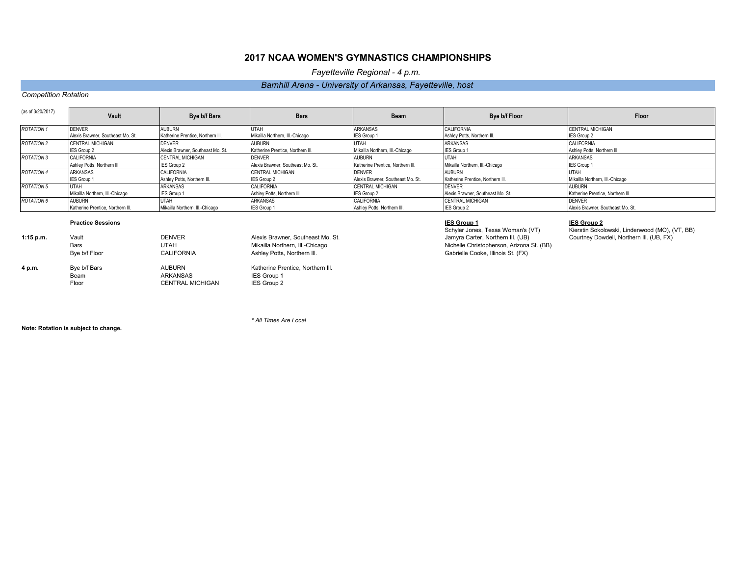| (as of 3/20/2017) | <b>Vault</b>                      | <b>Bye b/f Bars</b>               | <b>Bars</b>                       | <b>Beam</b>                       | Bye b/f Floor                     | Floor                             |
|-------------------|-----------------------------------|-----------------------------------|-----------------------------------|-----------------------------------|-----------------------------------|-----------------------------------|
| <b>ROTATION 1</b> | <b>DENVER</b>                     | <b>AUBURN</b>                     | <b>UTAH</b>                       | ARKANSAS                          | <b>CALIFORNIA</b>                 | <b>CENTRAL MICHIGAN</b>           |
|                   | Alexis Brawner, Southeast Mo. St. | Katherine Prentice, Northern III. | Mikailla Northern, III.-Chicago   | IES Group 1                       | Ashley Potts, Northern III.       | <b>IES Group 2</b>                |
| <b>ROTATION 2</b> | <b>CENTRAL MICHIGAN</b>           | <b>DENVER</b>                     | <b>AUBURN</b>                     | <b>UTAH</b>                       | <b>ARKANSAS</b>                   | <b>CALIFORNIA</b>                 |
|                   | <b>IES Group 2</b>                | Alexis Brawner, Southeast Mo. St. | Katherine Prentice. Northern III. | Mikailla Northern, III.-Chicago   | IES Group 1                       | Ashley Potts, Northern III.       |
| <b>ROTATION 3</b> | <b>CALIFORNIA</b>                 | <b>ICENTRAL MICHIGAN</b>          | <b>DENVER</b>                     | AUBURN                            | <b>UTAH</b>                       | <b>ARKANSAS</b>                   |
|                   | Ashley Potts, Northern III.       | <b>IES Group 2</b>                | Alexis Brawner, Southeast Mo. St. | Katherine Prentice, Northern III. | Mikailla Northern, III.-Chicago   | IES Group 1                       |
| <b>ROTATION 4</b> | <b>ARKANSAS</b>                   | <b>CALIFORNIA</b>                 | <b>CENTRAL MICHIGAN</b>           | <b>DENVER</b>                     | <b>AUBURN</b>                     | <b>UTAH</b>                       |
|                   | <b>IES Group 1</b>                | Ashley Potts, Northern III.       | <b>IES Group 2</b>                | Alexis Brawner, Southeast Mo. St. | Katherine Prentice, Northern III. | Mikailla Northern, III.-Chicago   |
| <b>ROTATION 5</b> | <b>UTAH</b>                       | ARKANSAS                          | <b>CALIFORNIA</b>                 | <b>CENTRAL MICHIGAN</b>           | <b>DENVER</b>                     | <b>AUBURN</b>                     |
|                   | Mikailla Northern, III.-Chicago   | <b>IES Group 1</b>                | Ashley Potts, Northern III.       | <b>IES Group 2</b>                | Alexis Brawner, Southeast Mo. St. | Katherine Prentice, Northern III. |
| <b>ROTATION 6</b> | AUBURN                            | <b>UTAH</b>                       | ARKANSAS                          | <b>CALIFORNIA</b>                 | <b>ICENTRAL MICHIGAN</b>          | <b>DENVER</b>                     |
|                   | Katherine Prentice, Northern III. | Mikailla Northern, III.-Chicago   | <b>IES Group 1</b>                | Ashley Potts, Northern III.       | <b>IES Group 2</b>                | Alexis Brawner, Southeast Mo. St. |

### **Practice Sessions IES Group 1 IES Group 2**

| $1:15$ p.m. | Vault         | <b>DENVER</b>           | Alexis Brawner, Southeast Mo. St. |  |
|-------------|---------------|-------------------------|-----------------------------------|--|
|             | <b>Bars</b>   | UTAH                    | Mikailla Northern, III.-Chicago   |  |
|             | Bye b/f Floor | <b>CALIFORNIA</b>       | Ashley Potts, Northern III.       |  |
| 4 p.m.      | Bye b/f Bars  | <b>AUBURN</b>           | Katherine Prentice, Northern III. |  |
|             | Beam          | <b>ARKANSAS</b>         | IES Group 1                       |  |
|             | Floor         | <b>CENTRAL MICHIGAN</b> | IES Group 2                       |  |

Nichelle Christopherson, Arizona St. (BB) Gabrielle Cooke, Illinois St. (FX)

*\* All Times Are Local*

**Note: Rotation is subject to change.**

Schyler Jones, Texas Woman's (VT) Kierstin Sokolowski, Lindenwood (MO), (VT, BB)<br>Jamyra Carter, Northern III. (UB) Courtney Dowdell, Northern III. (UB, FX) **Courtney Dowdell, Northern Ill. (UB, FX)** 

# **2017 NCAA WOMEN'S GYMNASTICS CHAMPIONSHIPS**

*Fayetteville Regional - 4 p.m.* 

## *Barnhill Arena - University of Arkansas, Fayetteville, host*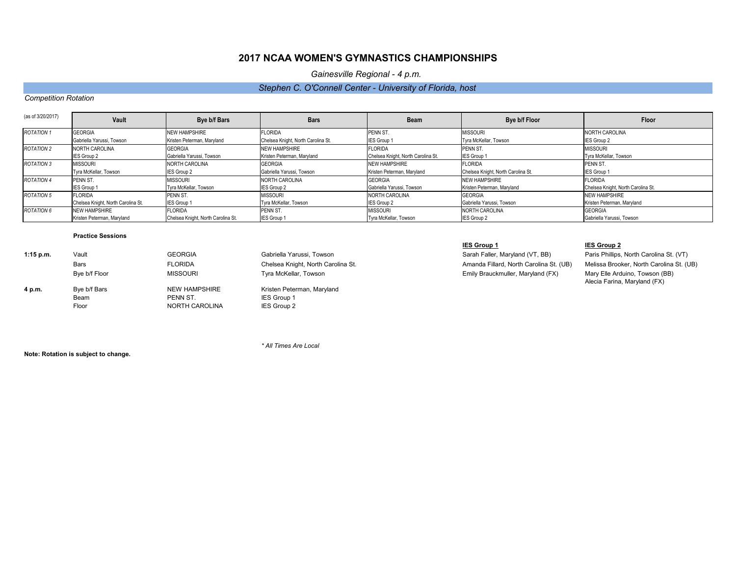Sarah Faller, Maryland (VT, BB) **Paris Phillips, North Carolina St. (VT)** Amanda Fillard, North Carolina St. (UB) Melissa Brooker, North Carolina St. (UB) Emily Brauckmuller, Maryland (FX) Mary Elle Arduino, Towson (BB) Alecia Farina, Maryland (FX)

| (as of 3/20/2017) | <b>Vault</b>                       | Bye b/f Bars                       | <b>Bars</b>                        | <b>Beam</b>                        | Bye b/f Floor                      | <b>Floor</b>                       |
|-------------------|------------------------------------|------------------------------------|------------------------------------|------------------------------------|------------------------------------|------------------------------------|
| <b>ROTATION 1</b> | <b>GEORGIA</b>                     | <b>NEW HAMPSHIRE</b>               | <b>FLORIDA</b>                     | PENN ST.                           | <b>MISSOURI</b>                    | NORTH CAROLINA                     |
|                   | Gabriella Yarussi, Towson          | Kristen Peterman, Maryland         | Chelsea Knight, North Carolina St. | <b>IES Group 1</b>                 | Tyra McKellar, Towson              | IES Group 2                        |
| <b>ROTATION 2</b> | NORTH CAROLINA                     | <b>GEORGIA</b>                     | <b>NEW HAMPSHIRE</b>               | <b>FLORIDA</b>                     | <b>PENN ST.</b>                    | <b>MISSOURI</b>                    |
|                   | <b>IES Group 2</b>                 | Gabriella Yarussi, Towson          | Kristen Peterman, Maryland         | Chelsea Knight, North Carolina St. | <b>IES Group 1</b>                 | Tyra McKellar, Towson              |
| <b>ROTATION 3</b> | <b>MISSOURI</b>                    | <b>NORTH CAROLINA</b>              | <b>GEORGIA</b>                     | <b>NEW HAMPSHIRE</b>               | <b>FLORIDA</b>                     | PENN ST.                           |
|                   | Tyra McKellar, Towson              | <b>IES Group 2</b>                 | Gabriella Yarussi, Towson          | Kristen Peterman, Maryland         | Chelsea Knight, North Carolina St. | <b>IES Group 1</b>                 |
| <b>ROTATION 4</b> | PENN ST.                           | <b>MISSOURI</b>                    | <b>NORTH CAROLINA</b>              | <b>GEORGIA</b>                     | <b>NEW HAMPSHIRE</b>               | <b>FLORIDA</b>                     |
|                   | <b>IES Group 1</b>                 | Tyra McKellar, Towson              | <b>IES Group 2</b>                 | Gabriella Yarussi, Towson          | Kristen Peterman, Maryland         | Chelsea Knight, North Carolina St. |
| <b>ROTATION 5</b> | <b>FLORIDA</b>                     | PENN ST.                           | <b>MISSOURI</b>                    | NORTH CAROLINA                     | <b>GEORGIA</b>                     | <b>NEW HAMPSHIRE</b>               |
|                   | Chelsea Knight, North Carolina St. | <b>IES Group 1</b>                 | Tyra McKellar, Towson              | <b>IES Group 2</b>                 | Gabriella Yarussi, Towson          | Kristen Peterman, Maryland         |
| <b>ROTATION 6</b> | <b>INEW HAMPSHIRE</b>              | <b>FLORIDA</b>                     | <b>PENN ST.</b>                    | <b>MISSOURI</b>                    | <b>NORTH CAROLINA</b>              | <b>GEORGIA</b>                     |
|                   | Kristen Peterman, Maryland         | Chelsea Knight, North Carolina St. | <b>IES Group 1</b>                 | Tyra McKellar, Towson              | <b>IES Group 2</b>                 | Gabriella Yarussi, Towson          |

### **Practice Sessions**

### **IES Group 1 IES Group 2**

| $1:15$ p.m. | Vault         | <b>GEORGIA</b>  | Gabriella Yarussi, Towson          |
|-------------|---------------|-----------------|------------------------------------|
|             | <b>Bars</b>   | <b>FLORIDA</b>  | Chelsea Knight, North Carolina St. |
|             | Bye b/f Floor | <b>MISSOURI</b> | Tyra McKellar, Towson              |
| 4 p.m.      | Bye b/f Bars  | NEW HAMPSHIRE   | Kristen Peterman, Maryland         |
|             | Beam          | PENN ST.        | <b>IES Group 1</b>                 |
|             | Floor         | NORTH CAROLINA  | IES Group 2                        |

*\* All Times Are Local*

**Note: Rotation is subject to change.**

# **2017 NCAA WOMEN'S GYMNASTICS CHAMPIONSHIPS**

*Gainesville Regional - 4 p.m.* 

## *Stephen C. O'Connell Center - University of Florida, host*